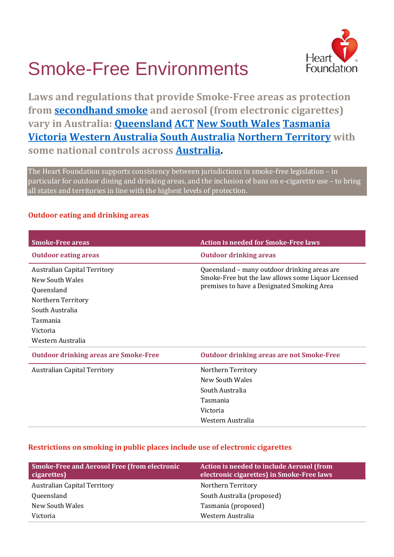# Hear Foundation

## Smoke-Free Environments

**Laws and regulations that provide Smoke-Free areas as protection from [secondhand](http://www.tobaccoinaustralia.org.au/chapter-4-secondhand) smoke and aerosol (from electronic cigarettes) vary in Australia: [Queensland](https://www.health.qld.gov.au/public-health/topics/atod/tobacco-laws) [ACT](http://www.health.act.gov.au/public-information/public-health/tobacco-and-smoke-free) [New South Wales](http://www.health.nsw.gov.au/tobacco/Pages/default.aspx) [Tasmania](http://www.dhhs.tas.gov.au/publichealth/tobacco_control/publications/e-cigarettes2/smoke-free_areas) [Victoria](https://www2.health.vic.gov.au/public-health/tobacco-reform/tobacco-reform-legislation-and-regulations) [Western Australia](http://ww2.health.wa.gov.au/Articles/S_T/Smoking-in-enclosed-public-places) [South Australia](http://www.sahealth.sa.gov.au/wps/wcm/connect/public+content/sa+health+internet/protecting+public+health/smoking+the+rules+and+regulations) [Northern Territory](https://nt.gov.au/wellbeing/healthy-living/smoking/where-you-can-and-cant-smoke) with some national controls across [Australia.](http://www.health.gov.au/internet/main/publishing.nsf/Content/tobacco-envt)**

The Heart Foundation supports consistency between jurisdictions in smoke-free legislation – in particular for outdoor dining and drinking areas, and the inclusion of bans on e-cigarette use – to bring all states and territories in line with the highest levels of protection.

#### **Outdoor eating and drinking areas**

| <b>Smoke-Free areas</b>                                                                                                               | <b>Action is needed for Smoke-Free laws</b>                                                                                                      |
|---------------------------------------------------------------------------------------------------------------------------------------|--------------------------------------------------------------------------------------------------------------------------------------------------|
| <b>Outdoor eating areas</b>                                                                                                           | <b>Outdoor drinking areas</b>                                                                                                                    |
| <b>Australian Capital Territory</b><br>New South Wales<br>Queensland<br>Northern Territory<br>South Australia<br>Tasmania<br>Victoria | Queensland - many outdoor drinking areas are<br>Smoke-Free but the law allows some Liquor Licensed<br>premises to have a Designated Smoking Area |
| Western Australia                                                                                                                     |                                                                                                                                                  |
| <b>Outdoor drinking areas are Smoke-Free</b>                                                                                          | <b>Outdoor drinking areas are not Smoke-Free</b>                                                                                                 |
| <b>Australian Capital Territory</b>                                                                                                   | Northern Territory<br>New South Wales<br>South Australia<br>Tasmania<br>Victoria<br>Western Australia                                            |

#### **Restrictions on smoking in public places include use of electronic cigarettes**

| <b>Smoke-Free and Aerosol Free (from electronic</b><br>cigarettes) | Action is needed to include Aerosol (from<br>electronic cigarettes) in Smoke-Free laws |
|--------------------------------------------------------------------|----------------------------------------------------------------------------------------|
| <b>Australian Capital Territory</b>                                | Northern Territory                                                                     |
| Queensland                                                         | South Australia (proposed)                                                             |
| New South Wales                                                    | Tasmania (proposed)                                                                    |
| Victoria                                                           | Western Australia                                                                      |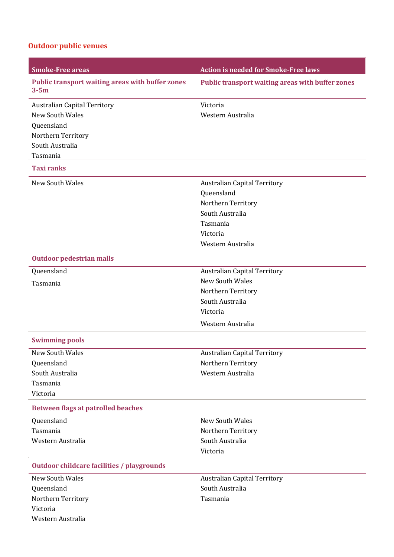### **Outdoor public venues**

| <b>Smoke-Free areas</b>                                             | <b>Action is needed for Smoke-Free laws</b>             |
|---------------------------------------------------------------------|---------------------------------------------------------|
| <b>Public transport waiting areas with buffer zones</b><br>$3 - 5m$ | <b>Public transport waiting areas with buffer zones</b> |
| <b>Australian Capital Territory</b>                                 | Victoria                                                |
| <b>New South Wales</b>                                              | Western Australia                                       |
| Queensland                                                          |                                                         |
| Northern Territory                                                  |                                                         |
| South Australia                                                     |                                                         |
| Tasmania                                                            |                                                         |
| <b>Taxi ranks</b>                                                   |                                                         |
| <b>New South Wales</b>                                              | <b>Australian Capital Territory</b>                     |
|                                                                     | Queensland                                              |
|                                                                     | Northern Territory                                      |
|                                                                     | South Australia                                         |
|                                                                     | Tasmania                                                |
|                                                                     | Victoria                                                |
|                                                                     | Western Australia                                       |
| <b>Outdoor pedestrian malls</b>                                     |                                                         |
| Queensland                                                          | <b>Australian Capital Territory</b>                     |
| Tasmania                                                            | New South Wales                                         |
|                                                                     | Northern Territory                                      |
|                                                                     | South Australia                                         |
|                                                                     | Victoria                                                |
|                                                                     | Western Australia                                       |
| <b>Swimming pools</b>                                               |                                                         |
| New South Wales                                                     | <b>Australian Capital Territory</b>                     |
| Queensland                                                          | Northern Territory                                      |
| South Australia                                                     | Western Australia                                       |
| Tasmania                                                            |                                                         |
| Victoria                                                            |                                                         |
| <b>Between flags at patrolled beaches</b>                           |                                                         |
| Queensland                                                          | New South Wales                                         |
| Tasmania                                                            | Northern Territory                                      |
| Western Australia                                                   | South Australia                                         |
|                                                                     | Victoria                                                |
| <b>Outdoor childcare facilities / playgrounds</b>                   |                                                         |
| <b>New South Wales</b>                                              | <b>Australian Capital Territory</b>                     |
| Queensland                                                          | South Australia                                         |
| Northern Territory                                                  | Tasmania                                                |
| Victoria                                                            |                                                         |
| Western Australia                                                   |                                                         |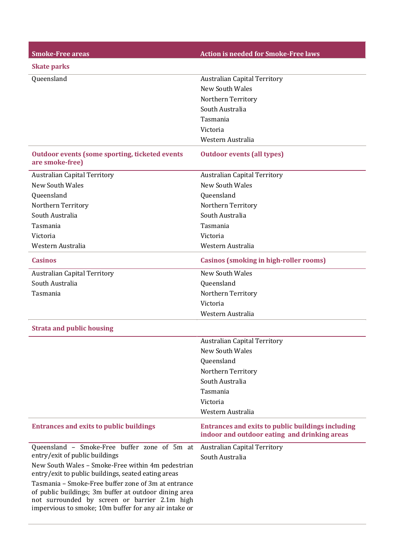| <b>Smoke-Free areas</b>                                                                                                                                                                                                | <b>Action is needed for Smoke-Free laws</b>                                                              |
|------------------------------------------------------------------------------------------------------------------------------------------------------------------------------------------------------------------------|----------------------------------------------------------------------------------------------------------|
| <b>Skate parks</b>                                                                                                                                                                                                     |                                                                                                          |
| Queensland                                                                                                                                                                                                             | <b>Australian Capital Territory</b>                                                                      |
|                                                                                                                                                                                                                        | New South Wales                                                                                          |
|                                                                                                                                                                                                                        | Northern Territory                                                                                       |
|                                                                                                                                                                                                                        | South Australia                                                                                          |
|                                                                                                                                                                                                                        | Tasmania                                                                                                 |
|                                                                                                                                                                                                                        | Victoria                                                                                                 |
|                                                                                                                                                                                                                        | Western Australia                                                                                        |
| <b>Outdoor events (some sporting, ticketed events</b><br>are smoke-free)                                                                                                                                               | <b>Outdoor events (all types)</b>                                                                        |
| <b>Australian Capital Territory</b>                                                                                                                                                                                    | <b>Australian Capital Territory</b>                                                                      |
| <b>New South Wales</b>                                                                                                                                                                                                 | <b>New South Wales</b>                                                                                   |
| Queensland                                                                                                                                                                                                             | Queensland                                                                                               |
| Northern Territory                                                                                                                                                                                                     | Northern Territory                                                                                       |
| South Australia                                                                                                                                                                                                        | South Australia                                                                                          |
| Tasmania                                                                                                                                                                                                               | Tasmania                                                                                                 |
| Victoria                                                                                                                                                                                                               | Victoria                                                                                                 |
| Western Australia                                                                                                                                                                                                      | Western Australia                                                                                        |
| <b>Casinos</b>                                                                                                                                                                                                         | <b>Casinos (smoking in high-roller rooms)</b>                                                            |
| <b>Australian Capital Territory</b>                                                                                                                                                                                    | <b>New South Wales</b>                                                                                   |
| South Australia                                                                                                                                                                                                        | Queensland                                                                                               |
| Tasmania                                                                                                                                                                                                               | Northern Territory                                                                                       |
|                                                                                                                                                                                                                        | Victoria                                                                                                 |
|                                                                                                                                                                                                                        | Western Australia                                                                                        |
| <b>Strata and public housing</b>                                                                                                                                                                                       |                                                                                                          |
|                                                                                                                                                                                                                        | <b>Australian Capital Territory</b>                                                                      |
|                                                                                                                                                                                                                        | <b>New South Wales</b>                                                                                   |
|                                                                                                                                                                                                                        | Oueensland                                                                                               |
|                                                                                                                                                                                                                        | Northern Territory                                                                                       |
|                                                                                                                                                                                                                        | South Australia                                                                                          |
|                                                                                                                                                                                                                        | Tasmania                                                                                                 |
|                                                                                                                                                                                                                        | Victoria                                                                                                 |
|                                                                                                                                                                                                                        | Western Australia                                                                                        |
| <b>Entrances and exits to public buildings</b>                                                                                                                                                                         | <b>Entrances and exits to public buildings including</b><br>indoor and outdoor eating and drinking areas |
| Queensland - Smoke-Free buffer zone of 5m at                                                                                                                                                                           | <b>Australian Capital Territory</b>                                                                      |
| entry/exit of public buildings                                                                                                                                                                                         | South Australia                                                                                          |
| New South Wales - Smoke-Free within 4m pedestrian<br>entry/exit to public buildings, seated eating areas                                                                                                               |                                                                                                          |
| Tasmania - Smoke-Free buffer zone of 3m at entrance<br>of public buildings; 3m buffer at outdoor dining area<br>not surrounded by screen or barrier 2.1m high<br>impervious to smoke; 10m buffer for any air intake or |                                                                                                          |